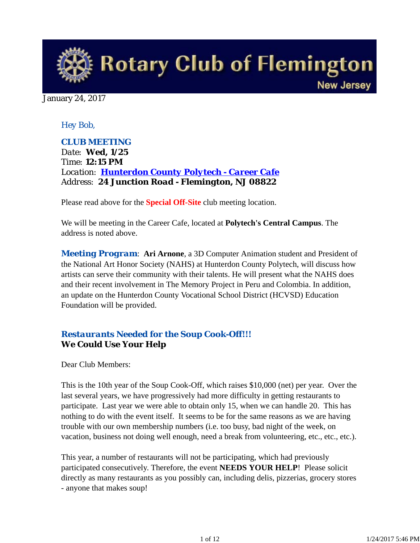

January 24, 2017

## *Hey Bob,*

*CLUB MEETING Date: Wed, 1/25 Time: 12:15 PM Location: Hunterdon County Polytech - Career Cafe Address: 24 Junction Road - Flemington, NJ 08822*

Please read above for the **Special Off-Site** club meeting location.

We will be meeting in the Career Cafe, located at **Polytech's Central Campus**. The address is noted above.

*Meeting Program*: **Ari Arnone**, a 3D Computer Animation student and President of the National Art Honor Society (NAHS) at Hunterdon County Polytech, will discuss how artists can serve their community with their talents. He will present what the NAHS does and their recent involvement in The Memory Project in Peru and Colombia. In addition, an update on the Hunterdon County Vocational School District (HCVSD) Education Foundation will be provided.

## *Restaurants Needed for the Soup Cook-Off!!!* **We Could Use Your Help**

Dear Club Members:

This is the 10th year of the Soup Cook-Off, which raises \$10,000 (net) per year. Over the last several years, we have progressively had more difficulty in getting restaurants to participate. Last year we were able to obtain only 15, when we can handle 20. This has nothing to do with the event itself. It seems to be for the same reasons as we are having trouble with our own membership numbers (i.e. too busy, bad night of the week, on vacation, business not doing well enough, need a break from volunteering, etc., etc., etc.).

This year, a number of restaurants will not be participating, which had previously participated consecutively. Therefore, the event **NEEDS YOUR HELP**! Please solicit directly as many restaurants as you possibly can, including delis, pizzerias, grocery stores - anyone that makes soup!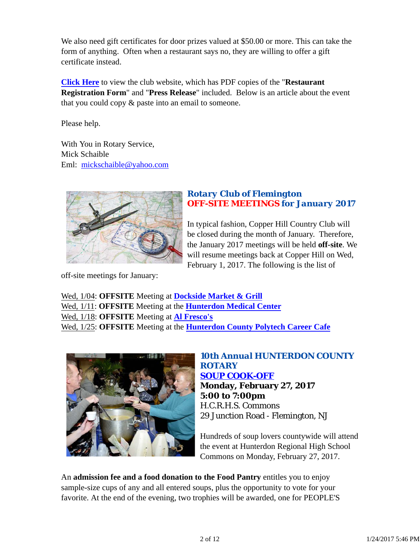We also need gift certificates for door prizes valued at \$50.00 or more. This can take the form of anything. Often when a restaurant says no, they are willing to offer a gift certificate instead.

**Click Here** to view the club website, which has PDF copies of the "**Restaurant Registration Form**" and "**Press Release**" included. Below is an article about the event that you could copy & paste into an email to someone.

Please help.

With You in Rotary Service, Mick Schaible Eml: mickschaible@yahoo.com



## *Rotary Club of Flemington OFF-SITE MEETINGS for January 2017*

In typical fashion, Copper Hill Country Club will be closed during the month of January. Therefore, the January 2017 meetings will be held **off-site**. We will resume meetings back at Copper Hill on Wed, February 1, 2017. The following is the list of

off-site meetings for January:

Wed, 1/04: **OFFSITE** Meeting at **Dockside Market & Grill** Wed, 1/11: **OFFSITE** Meeting at the **Hunterdon Medical Center** Wed, 1/18: **OFFSITE** Meeting at **Al Fresco's** Wed, 1/25: **OFFSITE** Meeting at the **Hunterdon County Polytech Career Cafe**



*10th Annual HUNTERDON COUNTY ROTARY SOUP COOK-OFF* **Monday, February 27, 2017 5:00 to 7:00pm** H.C.R.H.S. Commons 29 Junction Road - Flemington, NJ

Hundreds of soup lovers countywide will attend the event at Hunterdon Regional High School Commons on Monday, February 27, 2017.

An **admission fee and a food donation to the Food Pantry** entitles you to enjoy sample-size cups of any and all entered soups, plus the opportunity to vote for your favorite. At the end of the evening, two trophies will be awarded, one for PEOPLE'S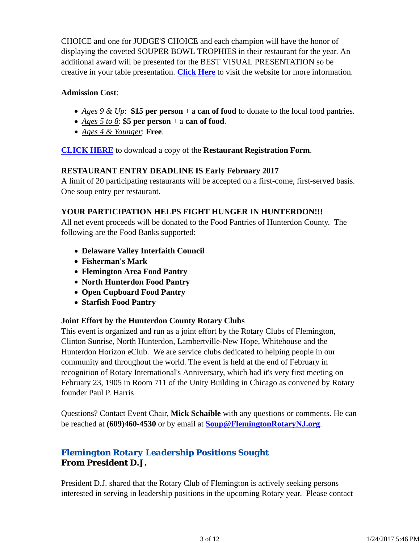CHOICE and one for JUDGE'S CHOICE and each champion will have the honor of displaying the coveted SOUPER BOWL TROPHIES in their restaurant for the year. An additional award will be presented for the BEST VISUAL PRESENTATION so be creative in your table presentation. **Click Here** to visit the website for more information.

## **Admission Cost**:

- *Ages 9 & Up*: **\$15 per person** + a **can of food** to donate to the local food pantries.
- *Ages 5 to 8*: **\$5 per person** + a **can of food**.
- *Ages 4 & Younger*: **Free**.

**CLICK HERE** to download a copy of the **Restaurant Registration Form**.

#### **RESTAURANT ENTRY DEADLINE IS Early February 2017**

A limit of 20 participating restaurants will be accepted on a first-come, first-served basis. One soup entry per restaurant.

## **YOUR PARTICIPATION HELPS FIGHT HUNGER IN HUNTERDON!!!**

All net event proceeds will be donated to the Food Pantries of Hunterdon County. The following are the Food Banks supported:

- **Delaware Valley Interfaith Council**
- **Fisherman's Mark**
- **Flemington Area Food Pantry**
- **North Hunterdon Food Pantry**
- **Open Cupboard Food Pantry**
- **Starfish Food Pantry**

## **Joint Effort by the Hunterdon County Rotary Clubs**

This event is organized and run as a joint effort by the Rotary Clubs of Flemington, Clinton Sunrise, North Hunterdon, Lambertville-New Hope, Whitehouse and the Hunterdon Horizon eClub. We are service clubs dedicated to helping people in our community and throughout the world. The event is held at the end of February in recognition of Rotary International's Anniversary, which had it's very first meeting on February 23, 1905 in Room 711 of the Unity Building in Chicago as convened by Rotary founder Paul P. Harris

Questions? Contact Event Chair, **Mick Schaible** with any questions or comments. He can be reached at **(609)460-4530** or by email at **Soup@FlemingtonRotaryNJ.org**.

# *Flemington Rotary Leadership Positions Sought* **From President D.J.**

President D.J. shared that the Rotary Club of Flemington is actively seeking persons interested in serving in leadership positions in the upcoming Rotary year. Please contact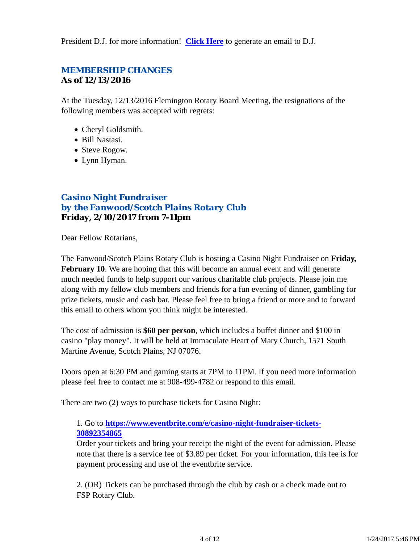President D.J. for more information! **Click Here** to generate an email to D.J.

# *MEMBERSHIP CHANGES* **As of 12/13/2016**

At the Tuesday, 12/13/2016 Flemington Rotary Board Meeting, the resignations of the following members was accepted with regrets:

- Cheryl Goldsmith.
- Bill Nastasi.
- Steve Rogow.
- Lynn Hyman.

## *Casino Night Fundraiser by the Fanwood/Scotch Plains Rotary Club* **Friday, 2/10/2017 from 7-11pm**

Dear Fellow Rotarians,

The Fanwood/Scotch Plains Rotary Club is hosting a Casino Night Fundraiser on **Friday, February 10.** We are hoping that this will become an annual event and will generate much needed funds to help support our various charitable club projects. Please join me along with my fellow club members and friends for a fun evening of dinner, gambling for prize tickets, music and cash bar. Please feel free to bring a friend or more and to forward this email to others whom you think might be interested.

The cost of admission is **\$60 per person**, which includes a buffet dinner and \$100 in casino "play money". It will be held at Immaculate Heart of Mary Church, 1571 South Martine Avenue, Scotch Plains, NJ 07076.

Doors open at 6:30 PM and gaming starts at 7PM to 11PM. If you need more information please feel free to contact me at 908-499-4782 or respond to this email.

There are two (2) ways to purchase tickets for Casino Night:

## 1. Go to **https://www.eventbrite.com/e/casino-night-fundraiser-tickets-30892354865**

Order your tickets and bring your receipt the night of the event for admission. Please note that there is a service fee of \$3.89 per ticket. For your information, this fee is for payment processing and use of the eventbrite service.

2. (OR) Tickets can be purchased through the club by cash or a check made out to FSP Rotary Club.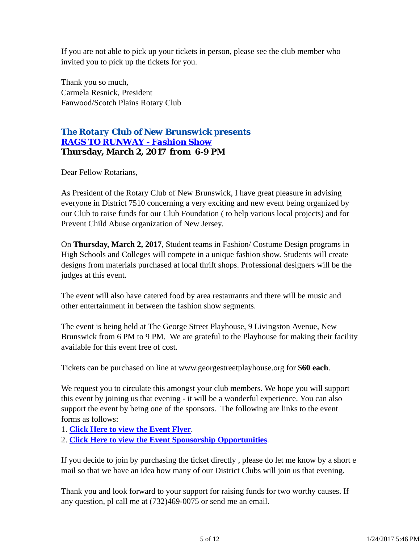If you are not able to pick up your tickets in person, please see the club member who invited you to pick up the tickets for you.

Thank you so much, Carmela Resnick, President Fanwood/Scotch Plains Rotary Club

## *The Rotary Club of New Brunswick presents RAGS TO RUNWAY - Fashion Show* **Thursday, March 2, 2017 from 6-9 PM**

Dear Fellow Rotarians,

As President of the Rotary Club of New Brunswick, I have great pleasure in advising everyone in District 7510 concerning a very exciting and new event being organized by our Club to raise funds for our Club Foundation ( to help various local projects) and for Prevent Child Abuse organization of New Jersey.

On **Thursday, March 2, 2017**, Student teams in Fashion/ Costume Design programs in High Schools and Colleges will compete in a unique fashion show. Students will create designs from materials purchased at local thrift shops. Professional designers will be the judges at this event.

The event will also have catered food by area restaurants and there will be music and other entertainment in between the fashion show segments.

The event is being held at The George Street Playhouse, 9 Livingston Avenue, New Brunswick from 6 PM to 9 PM. We are grateful to the Playhouse for making their facility available for this event free of cost.

Tickets can be purchased on line at www.georgestreetplayhouse.org for **\$60 each**.

We request you to circulate this amongst your club members. We hope you will support this event by joining us that evening - it will be a wonderful experience. You can also support the event by being one of the sponsors. The following are links to the event forms as follows:

1. **Click Here to view the Event Flyer**.

2. **Click Here to view the Event Sponsorship Opportunities**.

If you decide to join by purchasing the ticket directly , please do let me know by a short e mail so that we have an idea how many of our District Clubs will join us that evening.

Thank you and look forward to your support for raising funds for two worthy causes. If any question, pl call me at (732)469-0075 or send me an email.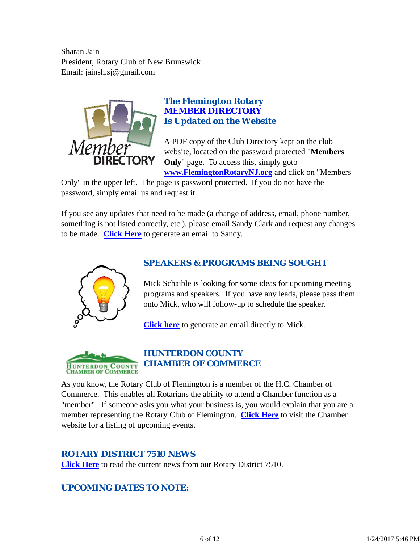Sharan Jain President, Rotary Club of New Brunswick Email: jainsh.sj@gmail.com



## *The Flemington Rotary MEMBER DIRECTORY Is Updated on the Website*

A PDF copy of the Club Directory kept on the club website, located on the password protected "**Members Only**" page. To access this, simply goto **www.FlemingtonRotaryNJ.org** and click on "Members

Only" in the upper left. The page is password protected. If you do not have the password, simply email us and request it.

If you see any updates that need to be made (a change of address, email, phone number, something is not listed correctly, etc.), please email Sandy Clark and request any changes to be made. **Click Here** to generate an email to Sandy.



# *SPEAKERS & PROGRAMS BEING SOUGHT*

Mick Schaible is looking for some ideas for upcoming meeting programs and speakers. If you have any leads, please pass them onto Mick, who will follow-up to schedule the speaker.

**Click here** to generate an email directly to Mick.



# *HUNTERDON COUNTY CHAMBER OF COMMERCE*

As you know, the Rotary Club of Flemington is a member of the H.C. Chamber of Commerce. This enables all Rotarians the ability to attend a Chamber function as a "member". If someone asks you what your business is, you would explain that you are a member representing the Rotary Club of Flemington. **Click Here** to visit the Chamber website for a listing of upcoming events.

## *ROTARY DISTRICT 7510 NEWS*

**Click Here** to read the current news from our Rotary District 7510.

## *UPCOMING DATES TO NOTE:*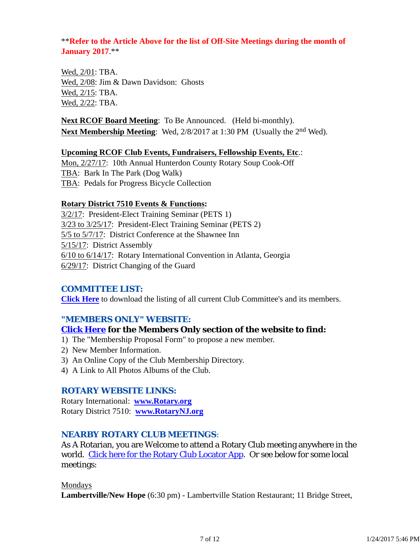## \*\***Refer to the Article Above for the list of Off-Site Meetings during the month of January 2017**.\*\*

Wed, 2/01: TBA. Wed, 2/08: Jim & Dawn Davidson: Ghosts Wed, 2/15: TBA. Wed, 2/22: TBA.

**Next RCOF Board Meeting**: To Be Announced. (Held bi-monthly). **Next Membership Meeting**: Wed, 2/8/2017 at 1:30 PM (Usually the 2<sup>nd</sup> Wed).

#### **Upcoming RCOF Club Events, Fundraisers, Fellowship Events, Etc**.:

Mon, 2/27/17: 10th Annual Hunterdon County Rotary Soup Cook-Off TBA: Bark In The Park (Dog Walk) TBA: Pedals for Progress Bicycle Collection

#### **Rotary District 7510 Events & Functions:**

3/2/17: President-Elect Training Seminar (PETS 1) 3/23 to 3/25/17: President-Elect Training Seminar (PETS 2) 5/5 to 5/7/17: District Conference at the Shawnee Inn 5/15/17: District Assembly 6/10 to 6/14/17: Rotary International Convention in Atlanta, Georgia 6/29/17: District Changing of the Guard

## *COMMITTEE LIST:*

**Click Here** to download the listing of all current Club Committee's and its members.

## *"MEMBERS ONLY" WEBSITE:*

## **Click Here for the Members Only section of the website to find:**

- 1) The "Membership Proposal Form" to propose a new member.
- 2) New Member Information.
- 3) An Online Copy of the Club Membership Directory.
- 4) A Link to All Photos Albums of the Club.

## *ROTARY WEBSITE LINKS:*

Rotary International: **www.Rotary.org** Rotary District 7510: **www.RotaryNJ.org**

## *NEARBY ROTARY CLUB MEETINGS:*

As A Rotarian, you are Welcome to attend a Rotary Club meeting anywhere in the world. Click here for the Rotary Club Locator App. Or see below for some local meetings:

#### Mondays

**Lambertville/New Hope** (6:30 pm) - Lambertville Station Restaurant; 11 Bridge Street,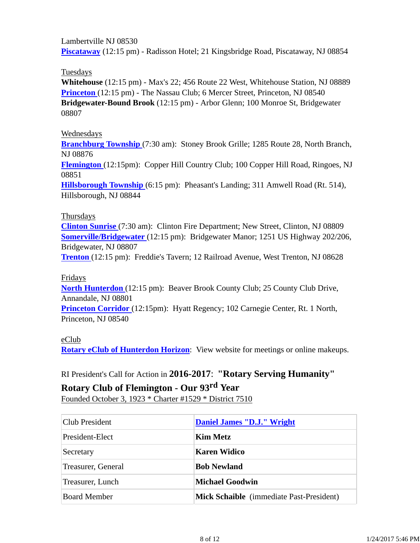Lambertville NJ 08530 **Piscataway** (12:15 pm) - Radisson Hotel; 21 Kingsbridge Road, Piscataway, NJ 08854

Tuesdays

**Whitehouse** (12:15 pm) - Max's 22; 456 Route 22 West, Whitehouse Station, NJ 08889 **Princeton** (12:15 pm) - The Nassau Club; 6 Mercer Street, Princeton, NJ 08540 **Bridgewater-Bound Brook** (12:15 pm) - Arbor Glenn; 100 Monroe St, Bridgewater 08807

## Wednesdays

**Branchburg Township** (7:30 am): Stoney Brook Grille; 1285 Route 28, North Branch, NJ 08876

**Flemington** (12:15pm): Copper Hill Country Club; 100 Copper Hill Road, Ringoes, NJ 08851

**Hillsborough Township** (6:15 pm): Pheasant's Landing; 311 Amwell Road (Rt. 514), Hillsborough, NJ 08844

## Thursdays

**Clinton Sunrise** (7:30 am): Clinton Fire Department; New Street, Clinton, NJ 08809 **Somerville/Bridgewater** (12:15 pm): Bridgewater Manor; 1251 US Highway 202/206, Bridgewater, NJ 08807

**Trenton** (12:15 pm): Freddie's Tavern; 12 Railroad Avenue, West Trenton, NJ 08628

Fridays

**North Hunterdon** (12:15 pm): Beaver Brook County Club; 25 County Club Drive, Annandale, NJ 08801

**Princeton Corridor** (12:15pm): Hyatt Regency; 102 Carnegie Center, Rt. 1 North, Princeton, NJ 08540

## eClub

**Rotary eClub of Hunterdon Horizon**: View website for meetings or online makeups.

RI President's Call for Action in **2016-2017**: **"Rotary Serving Humanity"**

# **Rotary Club of Flemington - Our 93rd Year**

Founded October 3, 1923 \* Charter #1529 \* District 7510

| <b>Club President</b> | Daniel James "D.J." Wright                      |
|-----------------------|-------------------------------------------------|
| President-Elect       | Kim Metz                                        |
| Secretary             | Karen Widico                                    |
| Treasurer, General    | <b>Bob Newland</b>                              |
| Treasurer, Lunch      | <b>Michael Goodwin</b>                          |
| <b>Board Member</b>   | <b>Mick Schaible</b> (immediate Past-President) |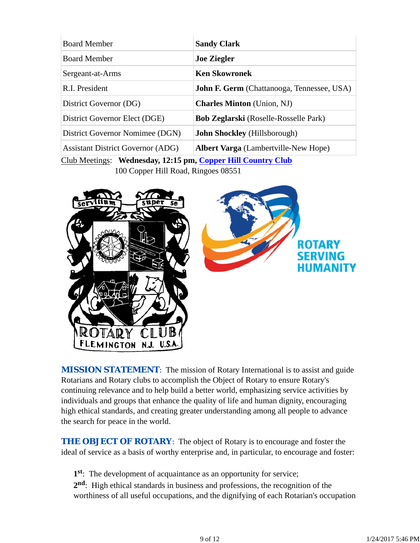| <b>Sandy Clark</b>                                |
|---------------------------------------------------|
| <b>Joe Ziegler</b>                                |
| <b>Ken Skowronek</b>                              |
| <b>John F. Germ</b> (Chattanooga, Tennessee, USA) |
| <b>Charles Minton</b> (Union, NJ)                 |
| <b>Bob Zeglarski</b> (Roselle-Rosselle Park)      |
| <b>John Shockley</b> (Hillsborough)               |
| <b>Albert Varga</b> (Lambertville-New Hope)       |
|                                                   |

Club Meetings: **Wednesday, 12:15 pm, Copper Hill Country Club** 100 Copper Hill Road, Ringoes 08551



**MISSION STATEMENT:** The mission of Rotary International is to assist and guide Rotarians and Rotary clubs to accomplish the Object of Rotary to ensure Rotary's continuing relevance and to help build a better world, emphasizing service activities by individuals and groups that enhance the quality of life and human dignity, encouraging high ethical standards, and creating greater understanding among all people to advance the search for peace in the world.

**THE OBJECT OF ROTARY:** The object of Rotary is to encourage and foster the ideal of service as a basis of worthy enterprise and, in particular, to encourage and foster:

**1st**: The development of acquaintance as an opportunity for service;

**2nd**: High ethical standards in business and professions, the recognition of the worthiness of all useful occupations, and the dignifying of each Rotarian's occupation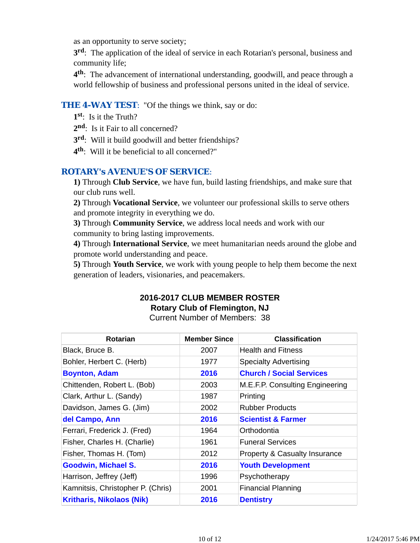as an opportunity to serve society;

**3rd**: The application of the ideal of service in each Rotarian's personal, business and community life;

**4th**: The advancement of international understanding, goodwill, and peace through a world fellowship of business and professional persons united in the ideal of service.

## **THE 4-WAY TEST:** "Of the things we think, say or do:

- **1st**: Is it the Truth?
- 2<sup>nd</sup>: Is it Fair to all concerned?
- **3rd**: Will it build goodwill and better friendships?
- **4th**: Will it be beneficial to all concerned?"

## *ROTARY's AVENUE'S OF SERVICE*:

**1)** Through **Club Service**, we have fun, build lasting friendships, and make sure that our club runs well.

**2)** Through **Vocational Service**, we volunteer our professional skills to serve others and promote integrity in everything we do.

**3)** Through **Community Service**, we address local needs and work with our community to bring lasting improvements.

**4)** Through **International Service**, we meet humanitarian needs around the globe and promote world understanding and peace.

**5)** Through **Youth Service**, we work with young people to help them become the next generation of leaders, visionaries, and peacemakers.

# **2016-2017 CLUB MEMBER ROSTER Rotary Club of Flemington, NJ**

Current Number of Members: 38

| <b>Rotarian</b>                   | <b>Member Since</b> | <b>Classification</b>           |
|-----------------------------------|---------------------|---------------------------------|
| Black, Bruce B.                   | 2007                | <b>Health and Fitness</b>       |
| Bohler, Herbert C. (Herb)         | 1977                | <b>Specialty Advertising</b>    |
| <b>Boynton, Adam</b>              | 2016                | <b>Church / Social Services</b> |
| Chittenden, Robert L. (Bob)       | 2003                | M.E.F.P. Consulting Engineering |
| Clark, Arthur L. (Sandy)          | 1987                | Printing                        |
| Davidson, James G. (Jim)          | 2002                | <b>Rubber Products</b>          |
| del Campo, Ann                    | 2016                | <b>Scientist &amp; Farmer</b>   |
| Ferrari, Frederick J. (Fred)      | 1964                | Orthodontia                     |
| Fisher, Charles H. (Charlie)      | 1961                | <b>Funeral Services</b>         |
| Fisher, Thomas H. (Tom)           | 2012                | Property & Casualty Insurance   |
| <b>Goodwin, Michael S.</b>        | 2016                | <b>Youth Development</b>        |
| Harrison, Jeffrey (Jeff)          | 1996                | Psychotherapy                   |
| Kamnitsis, Christopher P. (Chris) | 2001                | <b>Financial Planning</b>       |
| <b>Kritharis, Nikolaos (Nik)</b>  | 2016                | <b>Dentistry</b>                |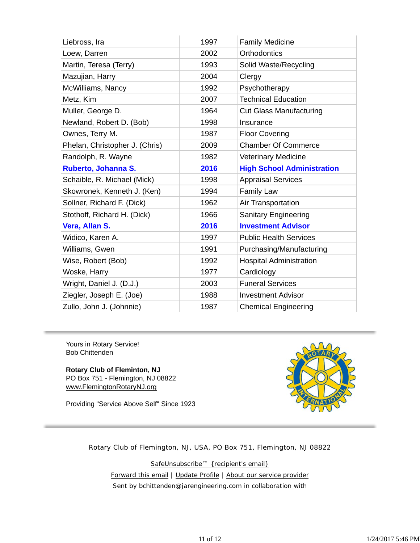| Liebross, Ira                  | 1997 | <b>Family Medicine</b>            |
|--------------------------------|------|-----------------------------------|
| Loew, Darren                   | 2002 | <b>Orthodontics</b>               |
| Martin, Teresa (Terry)         | 1993 | Solid Waste/Recycling             |
| Mazujian, Harry                | 2004 | Clergy                            |
| McWilliams, Nancy              | 1992 | Psychotherapy                     |
| Metz, Kim                      | 2007 | <b>Technical Education</b>        |
| Muller, George D.              | 1964 | <b>Cut Glass Manufacturing</b>    |
| Newland, Robert D. (Bob)       | 1998 | Insurance                         |
| Ownes, Terry M.                | 1987 | <b>Floor Covering</b>             |
| Phelan, Christopher J. (Chris) | 2009 | <b>Chamber Of Commerce</b>        |
| Randolph, R. Wayne             | 1982 | <b>Veterinary Medicine</b>        |
| Ruberto, Johanna S.            | 2016 | <b>High School Administration</b> |
| Schaible, R. Michael (Mick)    | 1998 | <b>Appraisal Services</b>         |
| Skowronek, Kenneth J. (Ken)    | 1994 | <b>Family Law</b>                 |
| Sollner, Richard F. (Dick)     | 1962 | Air Transportation                |
| Stothoff, Richard H. (Dick)    | 1966 | Sanitary Engineering              |
| Vera, Allan S.                 | 2016 | <b>Investment Advisor</b>         |
| Widico, Karen A.               | 1997 | <b>Public Health Services</b>     |
| Williams, Gwen                 | 1991 | Purchasing/Manufacturing          |
| Wise, Robert (Bob)             | 1992 | <b>Hospital Administration</b>    |
| Woske, Harry                   | 1977 | Cardiology                        |
| Wright, Daniel J. (D.J.)       | 2003 | <b>Funeral Services</b>           |
| Ziegler, Joseph E. (Joe)       |      |                                   |
|                                | 1988 | <b>Investment Advisor</b>         |

Yours in Rotary Service! Bob Chittenden

**Rotary Club of Fleminton, NJ** PO Box 751 - Flemington, NJ 08822 www.FlemingtonRotaryNJ.org

Providing "Service Above Self" Since 1923



Rotary Club of Flemington, NJ, USA, PO Box 751, Flemington, NJ 08822

SafeUnsubscribe™ {recipient's email} Forward this email | Update Profile | About our service provider Sent by bchittenden@jarengineering.com in collaboration with